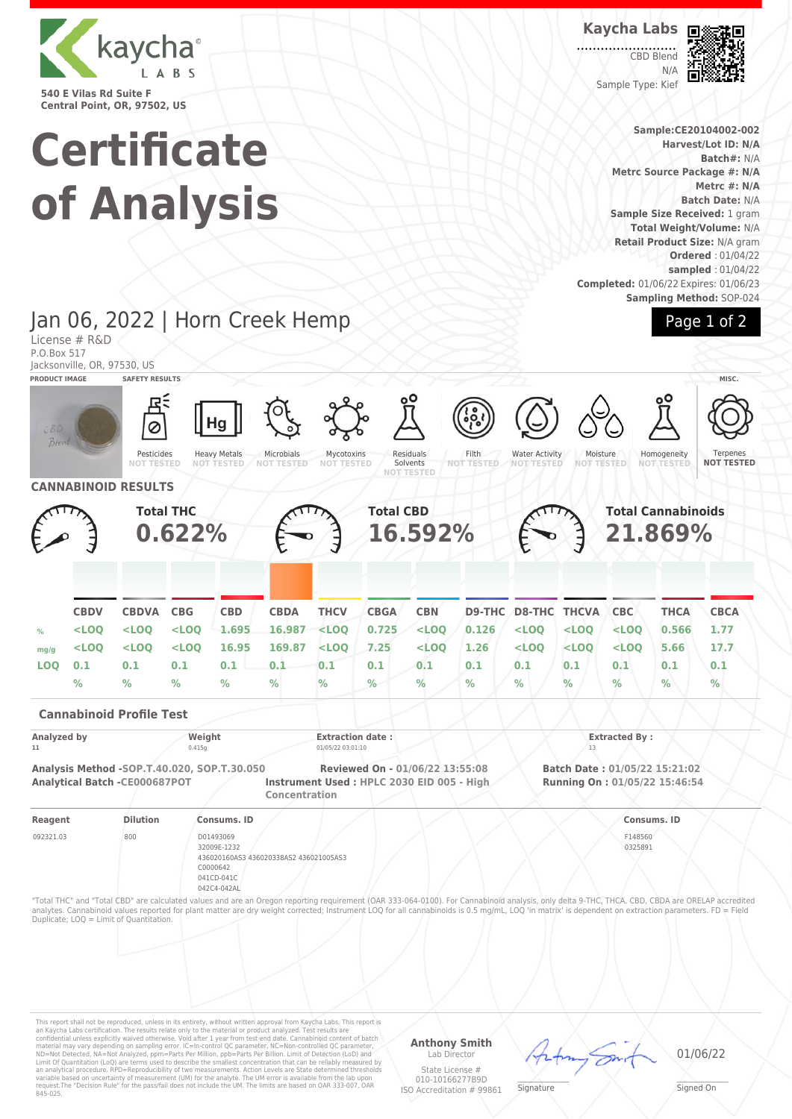

License # R&D

**Certificate of Analysis**

Jan 06, 2022 | Horn Creek Hemp

**Kaycha Labs**

CBD Blend  $N/\Delta$ Sample Type: Kief



**Sample:CE20104002-002 Harvest/Lot ID: N/A Batch#:** N/A **Metrc Source Package #: N/A Metrc #: N/A Batch Date:** N/A **Sample Size Received:** 1 gram **Total Weight/Volume:** N/A **Retail Product Size:** N/A gram **Ordered** : 01/04/22 **sampled** : 01/04/22 **Completed:** 01/06/22 Expires: 01/06/23 **Sampling Method:** SOP-024

Page 1 of 2

#### P.O.Box 517 Jacksonville, OR, 97530, US **PRODUCT IMAGE SAFETY RESULTS MISC.** Pesticides<br>NOT TESTE **NOT TESTED** Heavy Metals **NOT TESTED** Microbials **NOT TESTED** Mycotoxins **NOT TESTED** Residuals Solvents **NOT TESTED** Filth **NOT TESTED** Water Activity **NOT TESTED** Moisture<br>NOT TEST **NOT TESTED Homogeneity NOT TESTED** Ternene **NOT TESTED CANNABINOID RESULTS Total THC 0.622% Total CBD 16.592% Total Cannabinoids 21.869% CBDV CBDVA CBG CBD CBDA THCV CBGA CBN D9-THC D8-THC THCVA CBC THCA CBCA % <LOQ <LOQ <LOQ 1.695 16.987 <LOQ 0.725 <LOQ 0.126 <LOQ <LOQ <LOQ 0.566 1.77 mg/g <LOQ <LOQ <LOQ 16.95 169.87 <LOQ 7.25 <LOQ 1.26 <LOQ <LOQ <LOQ 5.66 17.7 LOQ 0.1 0.1 0.1 0.1 0.1 0.1 0.1 0.1 0.1 0.1 0.1 0.1 0.1 0.1 % % % % % % % % % % % % % % Cannabinoid Profile Test Analyzed by Weight Extraction date : Extracted By : 11** 0.415g 01/05/22 03:01:10 13 **Analysis Method -SOP.T.40.020, SOP.T.30.050 Reviewed On - 01/06/22 13:55:08 Batch Date : 01/05/22 15:21:02 Analytical Batch -CE000687POT Instrument Used : HPLC 2030 EID 005 - High Concentration Running On : 01/05/22 15:46:54 Reagent Dilution Consums. ID Consums. ID** 092321.03 800 D01493069 32009E-1232 436020160AS3 436020338AS2 436021005AS3 C0000642 041CD-041C 042C4-042AL F148560 0325891 "Total THC" and "Total CBD" are calculated values and are an Oregon reporting requirement (OAR 333-064-0100). For Cannabinoid analysis, only delta 9-THC, THCA, CBD, CBDA are ORELAP accredited analytes. Cannabinoid values reported for plant matter are dry weight corrected; Instrument LOQ for all cannabinoids is 0.5 mg/mL, LOQ 'in matrix' is dependent on extraction parameters. FD = Field Duplicate; LOQ = Limit of Quantitation.

This report shall not be reproduced, unless in its entirety, without written approval from Kaycha Labs. This report is<br>an Kaycha Labs certification. The results relate only to the material or product analyzed. Test result

**Anthony Smith** Lab Director

State License # 010-10166277B9D ISO Accreditation # 99861

 $\mathscr{L}\setminus\mathscr{L}$ **Signature** 

01/06/22

Signed On